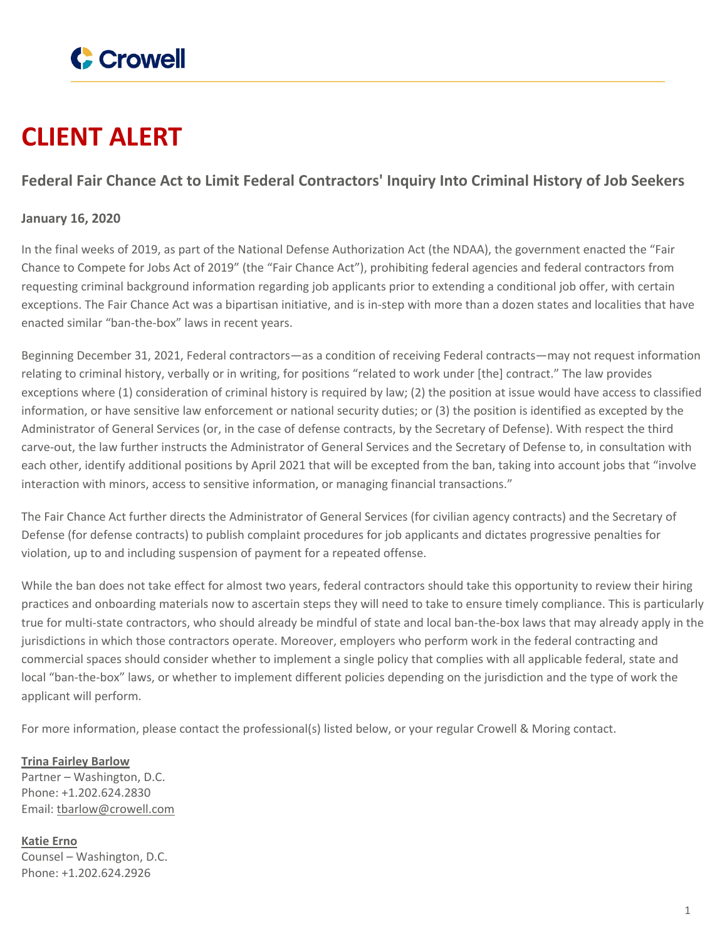

## **CLIENT ALERT**

## **Federal Fair Chance Act to Limit Federal Contractors' Inquiry Into Criminal History of Job Seekers**

## **January 16, 2020**

In the final weeks of 2019, as part of the National Defense Authorization Act (the NDAA), the government enacted the "Fair Chance to Compete for Jobs Act of 2019" (the "Fair Chance Act"), prohibiting federal agencies and federal contractors from requesting criminal background information regarding job applicants prior to extending a conditional job offer, with certain exceptions. The Fair Chance Act was a bipartisan initiative, and is in-step with more than a dozen states and localities that have enacted similar "ban-the-box" laws in recent years.

Beginning December 31, 2021, Federal contractors—as a condition of receiving Federal contracts—may not request information relating to criminal history, verbally or in writing, for positions "related to work under [the] contract." The law provides exceptions where (1) consideration of criminal history is required by law; (2) the position at issue would have access to classified information, or have sensitive law enforcement or national security duties; or (3) the position is identified as excepted by the Administrator of General Services (or, in the case of defense contracts, by the Secretary of Defense). With respect the third carve-out, the law further instructs the Administrator of General Services and the Secretary of Defense to, in consultation with each other, identify additional positions by April 2021 that will be excepted from the ban, taking into account jobs that "involve interaction with minors, access to sensitive information, or managing financial transactions."

The Fair Chance Act further directs the Administrator of General Services (for civilian agency contracts) and the Secretary of Defense (for defense contracts) to publish complaint procedures for job applicants and dictates progressive penalties for violation, up to and including suspension of payment for a repeated offense.

While the ban does not take effect for almost two years, federal contractors should take this opportunity to review their hiring practices and onboarding materials now to ascertain steps they will need to take to ensure timely compliance. This is particularly true for multi-state contractors, who should already be mindful of state and local ban-the-box laws that may already apply in the jurisdictions in which those contractors operate. Moreover, employers who perform work in the federal contracting and commercial spaces should consider whether to implement a single policy that complies with all applicable federal, state and local "ban-the-box" laws, or whether to implement different policies depending on the jurisdiction and the type of work the applicant will perform.

For more information, please contact the professional(s) listed below, or your regular Crowell & Moring contact.

**Trina Fairley [Barlow](https://www.crowell.com/professionals/Trina-Fairley-Barlow)** Partner – Washington, D.C. Phone: +1.202.624.2830 Email: [tbarlow@crowell.com](mailto:tbarlow@crowell.com)

**[Katie](https://www.crowell.com/professionals/Katie-Erno) Erno** Counsel – Washington, D.C. Phone: +1.202.624.2926